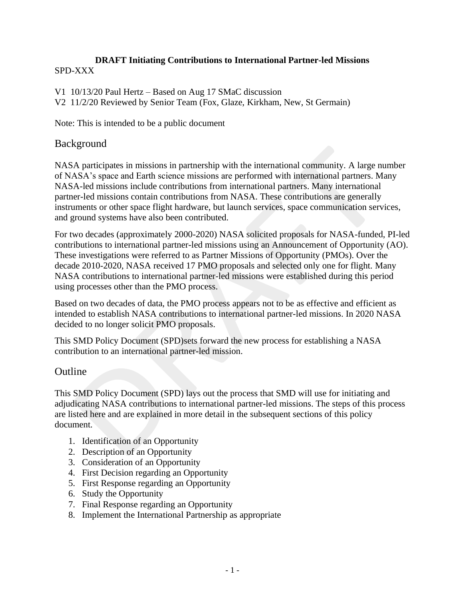#### **DRAFT Initiating Contributions to International Partner-led Missions** SPD-XXX

V1 10/13/20 Paul Hertz – Based on Aug 17 SMaC discussion V2 11/2/20 Reviewed by Senior Team (Fox, Glaze, Kirkham, New, St Germain)

Note: This is intended to be a public document

### Background

NASA participates in missions in partnership with the international community. A large number of NASA's space and Earth science missions are performed with international partners. Many NASA-led missions include contributions from international partners. Many international partner-led missions contain contributions from NASA. These contributions are generally instruments or other space flight hardware, but launch services, space communication services, and ground systems have also been contributed.

For two decades (approximately 2000-2020) NASA solicited proposals for NASA-funded, PI-led contributions to international partner-led missions using an Announcement of Opportunity (AO). These investigations were referred to as Partner Missions of Opportunity (PMOs). Over the decade 2010-2020, NASA received 17 PMO proposals and selected only one for flight. Many NASA contributions to international partner-led missions were established during this period using processes other than the PMO process.

Based on two decades of data, the PMO process appears not to be as effective and efficient as intended to establish NASA contributions to international partner-led missions. In 2020 NASA decided to no longer solicit PMO proposals.

This SMD Policy Document (SPD)sets forward the new process for establishing a NASA contribution to an international partner-led mission.

# **Outline**

This SMD Policy Document (SPD) lays out the process that SMD will use for initiating and adjudicating NASA contributions to international partner-led missions. The steps of this process are listed here and are explained in more detail in the subsequent sections of this policy document.

- 1. Identification of an Opportunity
- 2. Description of an Opportunity
- 3. Consideration of an Opportunity
- 4. First Decision regarding an Opportunity
- 5. First Response regarding an Opportunity
- 6. Study the Opportunity
- 7. Final Response regarding an Opportunity
- 8. Implement the International Partnership as appropriate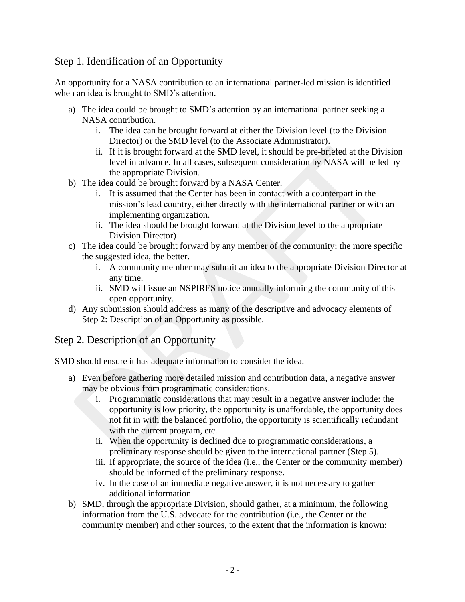### Step 1. Identification of an Opportunity

An opportunity for a NASA contribution to an international partner-led mission is identified when an idea is brought to SMD's attention.

- a) The idea could be brought to SMD's attention by an international partner seeking a NASA contribution.
	- i. The idea can be brought forward at either the Division level (to the Division Director) or the SMD level (to the Associate Administrator).
	- ii. If it is brought forward at the SMD level, it should be pre-briefed at the Division level in advance. In all cases, subsequent consideration by NASA will be led by the appropriate Division.
- b) The idea could be brought forward by a NASA Center.
	- i. It is assumed that the Center has been in contact with a counterpart in the mission's lead country, either directly with the international partner or with an implementing organization.
	- ii. The idea should be brought forward at the Division level to the appropriate Division Director)
- c) The idea could be brought forward by any member of the community; the more specific the suggested idea, the better.
	- i. A community member may submit an idea to the appropriate Division Director at any time.
	- ii. SMD will issue an NSPIRES notice annually informing the community of this open opportunity.
- d) Any submission should address as many of the descriptive and advocacy elements of Step 2: Description of an Opportunity as possible.

### Step 2. Description of an Opportunity

SMD should ensure it has adequate information to consider the idea.

- a) Even before gathering more detailed mission and contribution data, a negative answer may be obvious from programmatic considerations.
	- i. Programmatic considerations that may result in a negative answer include: the opportunity is low priority, the opportunity is unaffordable, the opportunity does not fit in with the balanced portfolio, the opportunity is scientifically redundant with the current program, etc.
	- ii. When the opportunity is declined due to programmatic considerations, a preliminary response should be given to the international partner (Step 5).
	- iii. If appropriate, the source of the idea (i.e., the Center or the community member) should be informed of the preliminary response.
	- iv. In the case of an immediate negative answer, it is not necessary to gather additional information.
- b) SMD, through the appropriate Division, should gather, at a minimum, the following information from the U.S. advocate for the contribution (i.e., the Center or the community member) and other sources, to the extent that the information is known: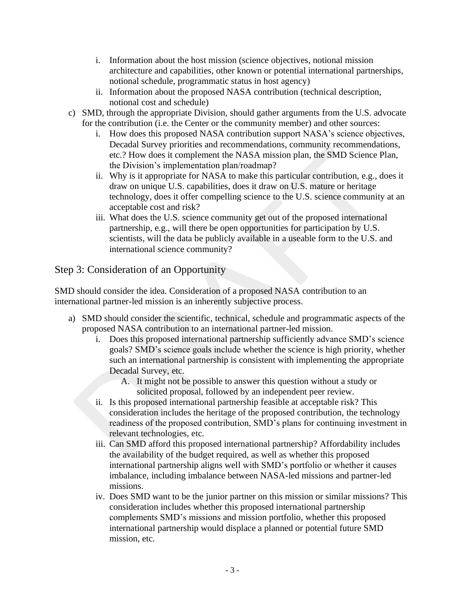- i. Information about the host mission (science objectives, notional mission architecture and capabilities, other known or potential international partnerships, notional schedule, programmatic status in host agency)
- ii. Information about the proposed NASA contribution (technical description, notional cost and schedule)
- c) SMD, through the appropriate Division, should gather arguments from the U.S. advocate for the contribution (i.e. the Center or the community member) and other sources:
	- i. How does this proposed NASA contribution support NASA's science objectives, Decadal Survey priorities and recommendations, community recommendations, etc.? How does it complement the NASA mission plan, the SMD Science Plan, the Division's implementation plan/roadmap?
	- ii. Why is it appropriate for NASA to make this particular contribution, e.g., does it draw on unique U.S. capabilities, does it draw on U.S. mature or heritage technology, does it offer compelling science to the U.S. science community at an acceptable cost and risk?
	- iii. What does the U.S. science community get out of the proposed international partnership, e.g., will there be open opportunities for participation by U.S. scientists, will the data be publicly available in a useable form to the U.S. and international science community?

# Step 3: Consideration of an Opportunity

SMD should consider the idea. Consideration of a proposed NASA contribution to an international partner-led mission is an inherently subjective process.

- a) SMD should consider the scientific, technical, schedule and programmatic aspects of the proposed NASA contribution to an international partner-led mission.
	- i. Does this proposed international partnership sufficiently advance SMD's science g oals? SMD's science goals include whether the science is high priority, whether such an international partnership is consistent with implementing the appropriate Decadal Survey, etc.
		- A. It might not be possible to answer this question without a study or solicited proposal, followed by an independent peer review.
	- ii. Is this proposed international partnership feasible at acceptable risk? This consideration includes the heritage of the proposed contribution, the technology readiness of the proposed contribution, SMD's plans for continuing investment in relevant technologies, etc.
	- iii. Can SMD afford this proposed international partnership? Affordability includes t he availability of the budget required, as well as whether this proposed international partnership aligns well with SMD's portfolio or whether it causes imbalance, including imbalance between NASA-led missions and partner-led missions.
	- iv. Does SMD want to be the junior partner on this mission or similar missions? This consideration includes whether this proposed international partnership complements SMD's missions and mission portfolio, whether this proposed international partnership would displace a planned or potential future SMD mission, etc.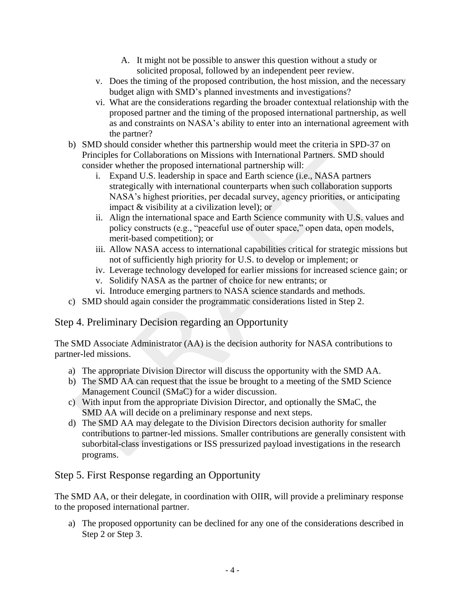- A. It might not be possible to answer this question without a study or solicited proposal, followed by an independent peer review.
- v. Does the timing of the proposed contribution, the host mission, and the necessary budget align with SMD's planned investments and investigations?
- vi. What are the considerations regarding the broader contextual relationship with the proposed partner and the timing of the proposed international partnership, as well as and constraints on NASA's ability to enter into an international agreement with the partner?
- b) SMD should consider whether this partnership would meet the criteria in SPD-37 on Principles for Collaborations on Missions with International Partners. SMD should consider whether the proposed international partnership will:
	- i. Expand U.S. leadership in space and Earth science (i.e., NASA partners strategically with international counterparts when such collaboration supports NASA's highest priorities, per decadal survey, agency priorities, or anticipating impact & visibility at a civilization level); or
	- ii. Align the international space and Earth Science community with U.S. values and policy constructs (e.g., "peaceful use of outer space," open data, open models, merit-based competition); or
	- iii. Allow NASA access to international capabilities critical for strategic missions but not of sufficiently high priority for U.S. to develop or implement; or
	- iv. Leverage technology developed for earlier missions for increased science gain; or
	- v. Solidify NASA as the partner of choice for new entrants; or
	- vi. Introduce emerging partners to NASA science standards and methods.
- c) SMD should again consider the programmatic considerations listed in Step 2.

### Step 4. Preliminary Decision regarding an Opportunity

The SMD Associate Administrator (AA) is the decision authority for NASA contributions to partner-led missions.

- a) The appropriate Division Director will discuss the opportunity with the SMD AA.
- b) The SMD AA can request that the issue be brought to a meeting of the SMD Science Management Council (SMaC) for a wider discussion.
- c) With input from the appropriate Division Director, and optionally the SMaC, the SMD AA will decide on a preliminary response and next steps.
- d) The SMD AA may delegate to the Division Directors decision authority for smaller contributions to partner-led missions. Smaller contributions are generally consistent with suborbital-class investigations or ISS pressurized payload investigations in the research programs.

# Step 5. First Response regarding an Opportunity

The SMD AA, or their delegate, in coordination with OIIR, will provide a preliminary response to the proposed international partner.

a) The proposed opportunity can be declined for any one of the considerations described in Step 2 or Step 3.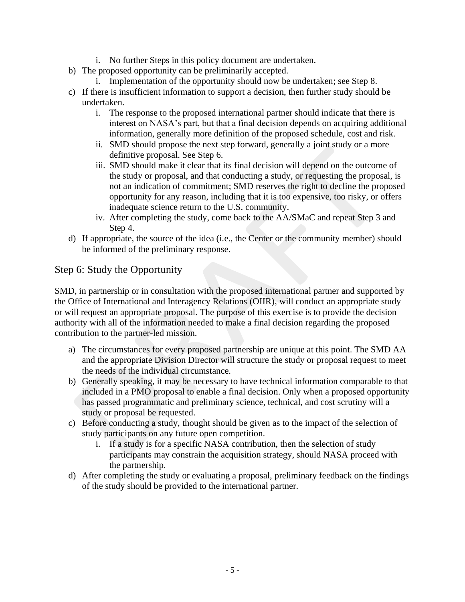- i. No further Steps in this policy document are undertaken.
- b) The proposed opportunity can be preliminarily accepted.
	- i. Implementation of the opportunity should now be undertaken; see Step 8.
- c) If there is insufficient information to support a decision, then further study should be undertaken.
	- i. The response to the proposed international partner should indicate that there is interest on NASA's part, but that a final decision depends on acquiring additional information, generally more definition of the proposed schedule, cost and risk.
	- ii. SMD should propose the next step forward, generally a joint study or a more definitive proposal. See Step 6.
	- iii. SMD should make it clear that its final decision will depend on the outcome of the study or proposal, and that conducting a study, or requesting the proposal, is not an indication of commitment; SMD reserves the right to decline the proposed opportunity for any reason, including that it is too expensive, too risky, or offers inadequate science return to the U.S. community.
	- iv. After completing the study, come back to the AA/SMaC and repeat Step 3 and Step 4.
- d) If appropriate, the source of the idea (i.e., the Center or the community member) should be informed of the preliminary response.

### Step 6: Study the Opportunity

SMD, in partnership or in consultation with the proposed international partner and supported by the Office of International and Interagency Relations (OIIR), will conduct an appropriate study or will request an appropriate proposal. The purpose of this exercise is to provide the decision authority with all of the information needed to make a final decision regarding the proposed contribution to the partner-led mission.

- a) The circumstances for every proposed partnership are unique at this point. The SMD AA and the appropriate Division Director will structure the study or proposal request to meet the needs of the individual circumstance.
- b) Generally speaking, it may be necessary to have technical information comparable to that included in a PMO proposal to enable a final decision. Only when a proposed opportunity has passed programmatic and preliminary science, technical, and cost scrutiny will a study or proposal be requested.
- c) Before conducting a study, thought should be given as to the impact of the selection of study participants on any future open competition.
	- i. If a study is for a specific NASA contribution, then the selection of study participants may constrain the acquisition strategy, should NASA proceed with the partnership.
- d) After completing the study or evaluating a proposal, preliminary feedback on the findings of the study should be provided to the international partner.